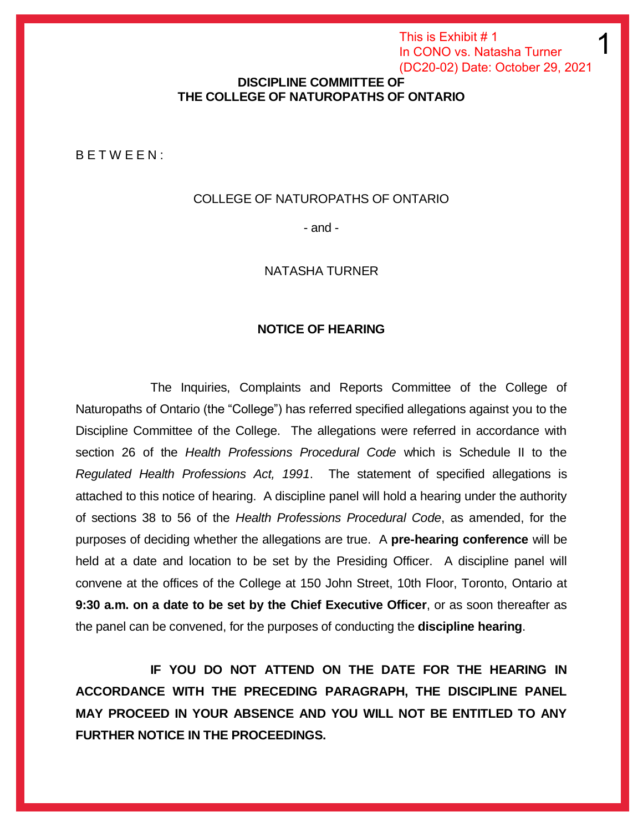This is Exhibit # 1 In CONO vs. Natasha Turner (DC20-02) Date: October 29, 2021

1

### **DISCIPLINE COMMITTEE OF THE COLLEGE OF NATUROPATHS OF ONTARIO**

B E T W E E N :

#### COLLEGE OF NATUROPATHS OF ONTARIO

- and -

#### NATASHA TURNER

#### **NOTICE OF HEARING**

The Inquiries, Complaints and Reports Committee of the College of Naturopaths of Ontario (the "College") has referred specified allegations against you to the Discipline Committee of the College. The allegations were referred in accordance with section 26 of the *Health Professions Procedural Code* which is Schedule II to the *Regulated Health Professions Act, 1991*. The statement of specified allegations is attached to this notice of hearing. A discipline panel will hold a hearing under the authority of sections 38 to 56 of the *Health Professions Procedural Code*, as amended, for the purposes of deciding whether the allegations are true. A **pre-hearing conference** will be held at a date and location to be set by the Presiding Officer. A discipline panel will convene at the offices of the College at 150 John Street, 10th Floor, Toronto, Ontario at **9:30 a.m. on a date to be set by the Chief Executive Officer**, or as soon thereafter as the panel can be convened, for the purposes of conducting the **discipline hearing**.

**IF YOU DO NOT ATTEND ON THE DATE FOR THE HEARING IN ACCORDANCE WITH THE PRECEDING PARAGRAPH, THE DISCIPLINE PANEL MAY PROCEED IN YOUR ABSENCE AND YOU WILL NOT BE ENTITLED TO ANY FURTHER NOTICE IN THE PROCEEDINGS.**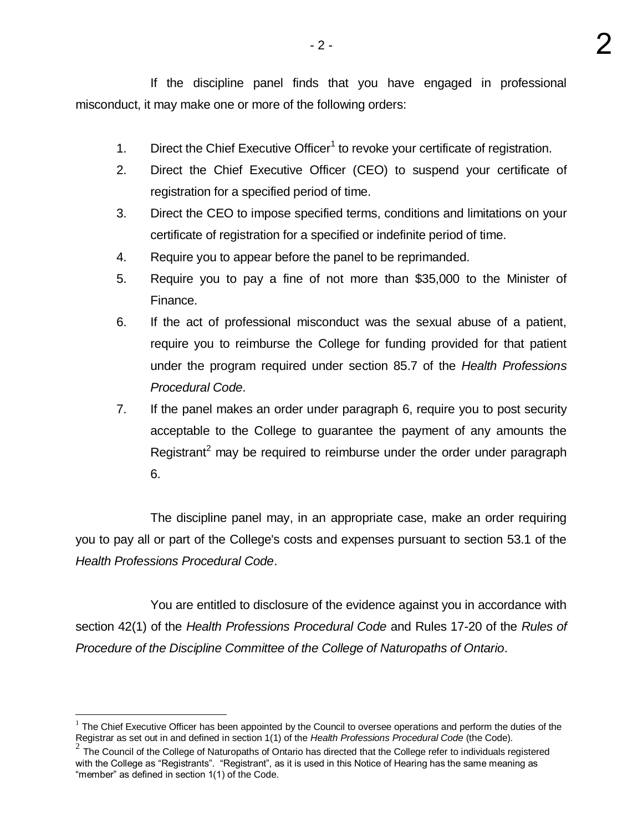If the discipline panel finds that you have engaged in professional misconduct, it may make one or more of the following orders:

2

- 1. Direct the Chief Executive Officer<sup>1</sup> to revoke your certificate of registration.
- 2. Direct the Chief Executive Officer (CEO) to suspend your certificate of registration for a specified period of time.
- 3. Direct the CEO to impose specified terms, conditions and limitations on your certificate of registration for a specified or indefinite period of time.
- 4. Require you to appear before the panel to be reprimanded.
- 5. Require you to pay a fine of not more than \$35,000 to the Minister of Finance.
- 6. If the act of professional misconduct was the sexual abuse of a patient, require you to reimburse the College for funding provided for that patient under the program required under section 85.7 of the *Health Professions Procedural Code*.
- 7. If the panel makes an order under paragraph 6, require you to post security acceptable to the College to guarantee the payment of any amounts the Registrant<sup>2</sup> may be required to reimburse under the order under paragraph 6.

The discipline panel may, in an appropriate case, make an order requiring you to pay all or part of the College's costs and expenses pursuant to section 53.1 of the *Health Professions Procedural Code*.

You are entitled to disclosure of the evidence against you in accordance with section 42(1) of the *Health Professions Procedural Code* and Rules 17-20 of the *Rules of Procedure of the Discipline Committee of the College of Naturopaths of Ontario*.

 $1$  The Chief Executive Officer has been appointed by the Council to oversee operations and perform the duties of the

Registrar as set out in and defined in section 1(1) of the *Health Professions Procedural Code* (the Code).<br><sup>2</sup> The Council of the College of Naturopaths of Ontario has directed that the College refer to individuals regist with the College as "Registrants". "Registrant", as it is used in this Notice of Hearing has the same meaning as "member" as defined in section 1(1) of the Code.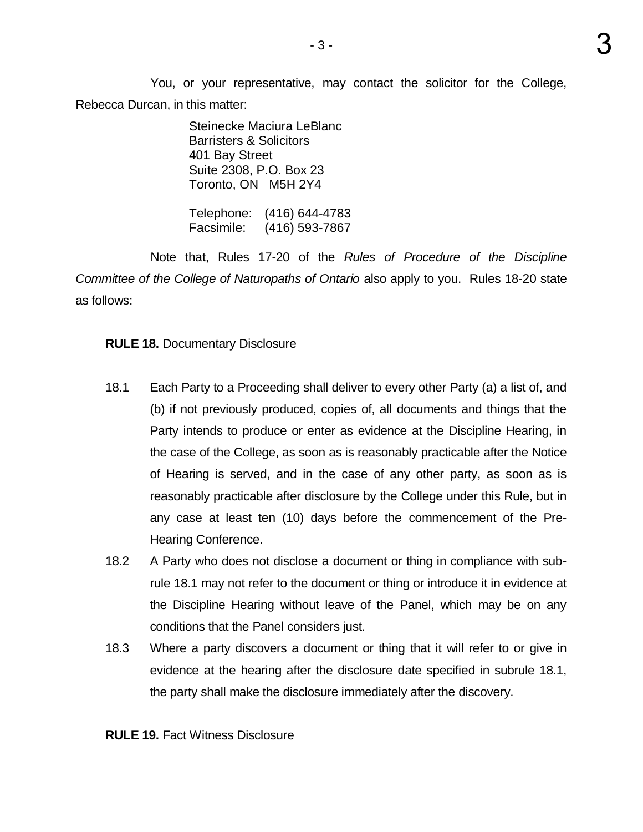You, or your representative, may contact the solicitor for the College, Rebecca Durcan, in this matter:

> Steinecke Maciura LeBlanc Barristers & Solicitors 401 Bay Street Suite 2308, P.O. Box 23 Toronto, ON M5H 2Y4

Telephone: (416) 644-4783 Facsimile: (416) 593-7867

Note that, Rules 17-20 of the *Rules of Procedure of the Discipline Committee of the College of Naturopaths of Ontario* also apply to you. Rules 18-20 state as follows:

## **RULE 18.** Documentary Disclosure

- 18.1 Each Party to a Proceeding shall deliver to every other Party (a) a list of, and (b) if not previously produced, copies of, all documents and things that the Party intends to produce or enter as evidence at the Discipline Hearing, in the case of the College, as soon as is reasonably practicable after the Notice of Hearing is served, and in the case of any other party, as soon as is reasonably practicable after disclosure by the College under this Rule, but in any case at least ten (10) days before the commencement of the Pre-Hearing Conference.
- 18.2 A Party who does not disclose a document or thing in compliance with sub rule 18.1 may not refer to the document or thing or introduce it in evidence at the Discipline Hearing without leave of the Panel, which may be on any conditions that the Panel considers just.
- 18.3 Where a party discovers a document or thing that it will refer to or give in evidence at the hearing after the disclosure date specified in subrule 18.1, the party shall make the disclosure immediately after the discovery.

**RULE 19.** Fact Witness Disclosure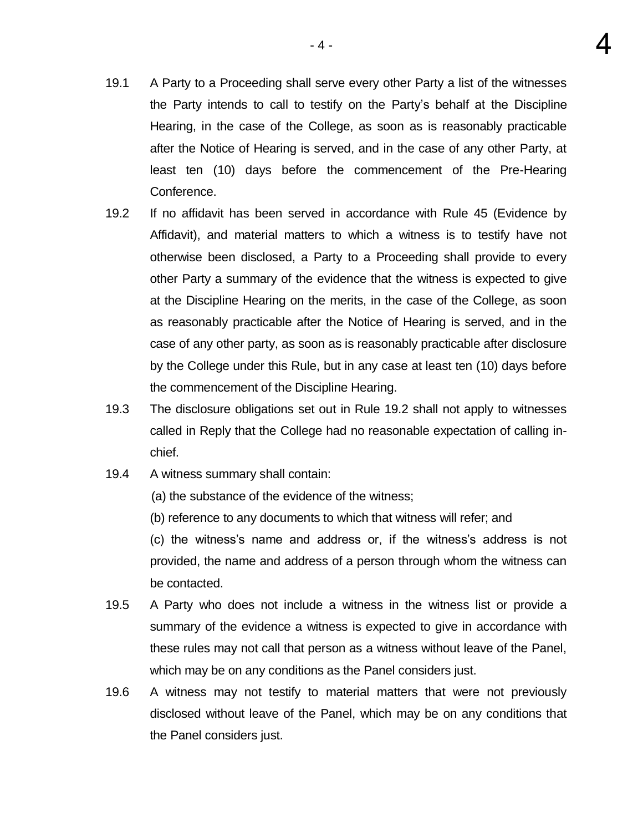- 19.1 A Party to a Proceeding shall serve every other Party a list of the witnesses the Party intends to call to testify on the Party's behalf at the Discipline Hearing, in the case of the College, as soon as is reasonably practicable after the Notice of Hearing is served, and in the case of any other Party, at least ten (10) days before the commencement of the Pre-Hearing Conference.
- 19.2 If no affidavit has been served in accordance with Rule 45 (Evidence by Affidavit), and material matters to which a witness is to testify have not otherwise been disclosed, a Party to a Proceeding shall provide to every other Party a summary of the evidence that the witness is expected to give at the Discipline Hearing on the merits, in the case of the College, as soon as reasonably practicable after the Notice of Hearing is served, and in the case of any other party, as soon as is reasonably practicable after disclosure by the College under this Rule, but in any case at least ten (10) days before the commencement of the Discipline Hearing.
- 19.3 The disclosure obligations set out in Rule 19.2 shall not apply to witnesses called in Reply that the College had no reasonable expectation of calling inchief.
- 19.4 A witness summary shall contain:
	- (a) the substance of the evidence of the witness;
	- (b) reference to any documents to which that witness will refer; and

(c) the witness's name and address or, if the witness's address is not provided, the name and address of a person through whom the witness can be contacted.

- 19.5 A Party who does not include a witness in the witness list or provide a summary of the evidence a witness is expected to give in accordance with these rules may not call that person as a witness without leave of the Panel, which may be on any conditions as the Panel considers just.
- 19.6 A witness may not testify to material matters that were not previously disclosed without leave of the Panel, which may be on any conditions that the Panel considers just.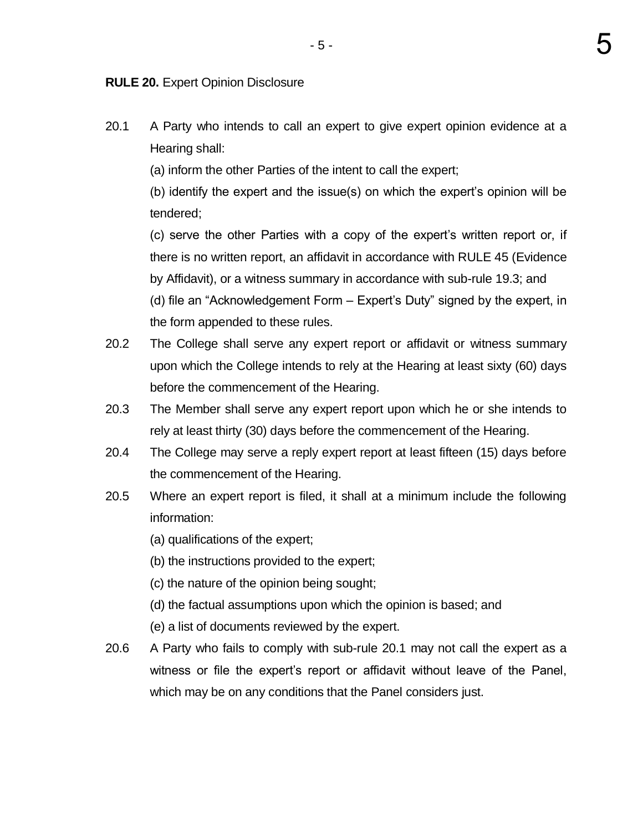**RULE 20.** Expert Opinion Disclosure

20.1 A Party who intends to call an expert to give expert opinion evidence at a Hearing shall:

(a) inform the other Parties of the intent to call the expert;

(b) identify the expert and the issue(s) on which the expert's opinion will be tendered;

(c) serve the other Parties with a copy of the expert's written report or, if there is no written report, an affidavit in accordance with RULE 45 (Evidence by Affidavit), or a witness summary in accordance with sub-rule 19.3; and

(d) file an "Acknowledgement Form – Expert's Duty" signed by the expert, in the form appended to these rules.

- 20.2 The College shall serve any expert report or affidavit or witness summary upon which the College intends to rely at the Hearing at least sixty (60) days before the commencement of the Hearing.
- 20.3 The Member shall serve any expert report upon which he or she intends to rely at least thirty (30) days before the commencement of the Hearing.
- 20.4 The College may serve a reply expert report at least fifteen (15) days before the commencement of the Hearing.
- 20.5 Where an expert report is filed, it shall at a minimum include the following information:
	- (a) qualifications of the expert;
	- (b) the instructions provided to the expert;
	- (c) the nature of the opinion being sought;
	- (d) the factual assumptions upon which the opinion is based; and
	- (e) a list of documents reviewed by the expert.
- 20.6 A Party who fails to comply with sub-rule 20.1 may not call the expert as a witness or file the expert's report or affidavit without leave of the Panel, which may be on any conditions that the Panel considers just.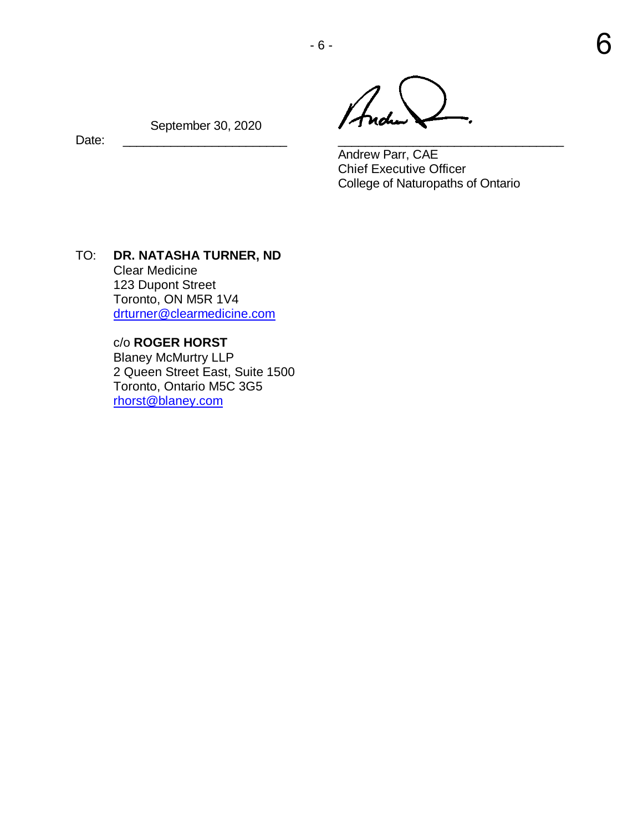- 6 -

Andrew Parr, CAE Chief Executive Officer College of Naturopaths of Ontario

 September 30, 2020 Date: \_\_\_\_\_\_\_\_\_\_\_\_\_\_\_\_\_\_\_\_\_\_\_\_ \_\_\_\_\_\_\_\_\_\_\_\_\_\_\_\_\_\_\_\_\_\_\_\_\_\_\_\_\_\_\_\_\_

TO: **DR. NATASHA TURNER, ND** Clear Medicine 123 Dupont Street Toronto, ON M5R 1V4 [drturner@clearmedicine.com](mailto:drturner@clearmedicine.com) 

> c/o **ROGER HORST**  Blaney McMurtry LLP 2 Queen Street East, Suite 1500 Toronto, Ontario M5C 3G5 [rhorst@blaney.com](mailto:rhorst@blaney.com)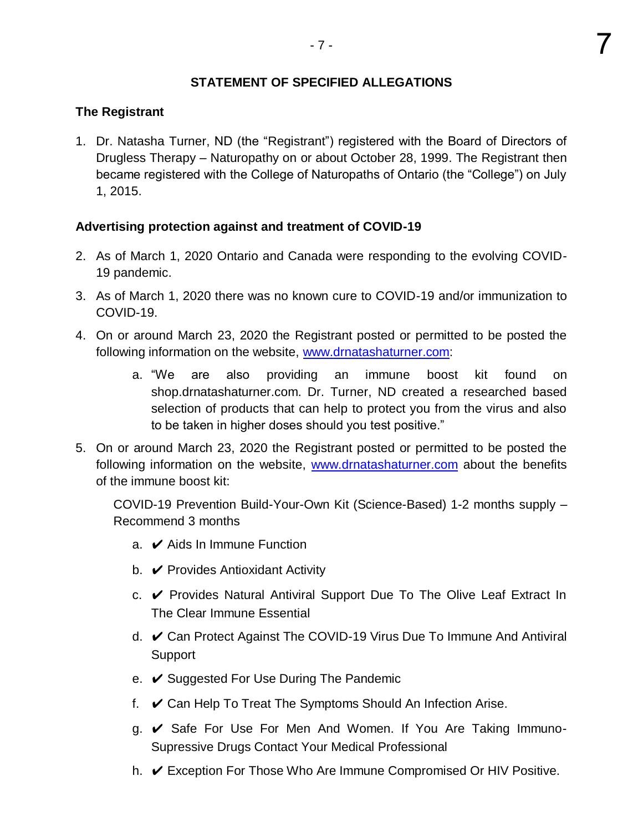# **STATEMENT OF SPECIFIED ALLEGATIONS**

## **The Registrant**

1. Dr. Natasha Turner, ND (the "Registrant") registered with the Board of Directors of Drugless Therapy – Naturopathy on or about October 28, 1999. The Registrant then became registered with the College of Naturopaths of Ontario (the "College") on July 1, 2015.

## **Advertising protection against and treatment of COVID-19**

- 2. As of March 1, 2020 Ontario and Canada were responding to the evolving COVID-19 pandemic.
- 3. As of March 1, 2020 there was no known cure to COVID-19 and/or immunization to COVID-19.
- 4. On or around March 23, 2020 the Registrant posted or permitted to be posted the following information on the website, [www.drnatashaturner.com:](http://www.drnatashaturner.com/)
	- a. "We are also providing an immune boost kit found on shop.drnatashaturner.com. Dr. Turner, ND created a researched based selection of products that can help to protect you from the virus and also to be taken in higher doses should you test positive."
- 5. On or around March 23, 2020 the Registrant posted or permitted to be posted the following information on the website, [www.drnatashaturner.com](http://www.drnatashaturner.com/) about the benefits of the immune boost kit:

COVID-19 Prevention Build-Your-Own Kit (Science-Based) 1-2 months supply – Recommend 3 months

- a.  $\vee$  Aids In Immune Function
- b.  $\vee$  Provides Antioxidant Activity
- c. ✔ Provides Natural Antiviral Support Due To The Olive Leaf Extract In The Clear Immune Essential
- d. ✔ Can Protect Against The COVID-19 Virus Due To Immune And Antiviral Support
- e. ✔ Suggested For Use During The Pandemic
- f.  $\vee$  Can Help To Treat The Symptoms Should An Infection Arise.
- g. ✔ Safe For Use For Men And Women. If You Are Taking Immuno-Supressive Drugs Contact Your Medical Professional
- h. ✔ Exception For Those Who Are Immune Compromised Or HIV Positive.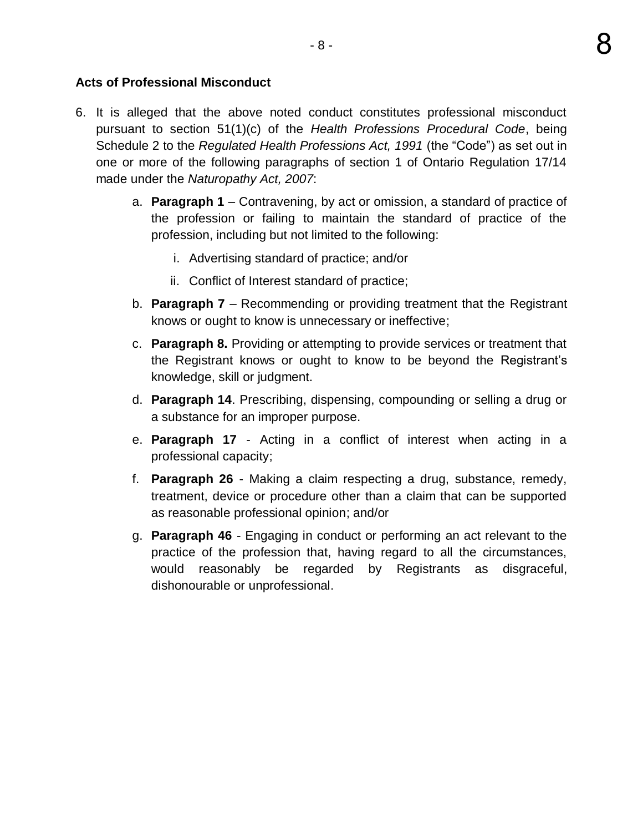## **Acts of Professional Misconduct**

- 6. It is alleged that the above noted conduct constitutes professional misconduct pursuant to section 51(1)(c) of the *Health Professions Procedural Code*, being Schedule 2 to the *Regulated Health Professions Act, 1991* (the "Code") as set out in one or more of the following paragraphs of section 1 of Ontario Regulation 17/14 made under the *Naturopathy Act, 2007*:
	- a. **Paragraph 1** Contravening, by act or omission, a standard of practice of the profession or failing to maintain the standard of practice of the profession, including but not limited to the following:
		- i. Advertising standard of practice; and/or
		- ii. Conflict of Interest standard of practice;
	- b. **Paragraph 7** Recommending or providing treatment that the Registrant knows or ought to know is unnecessary or ineffective;
	- c. **Paragraph 8.** Providing or attempting to provide services or treatment that the Registrant knows or ought to know to be beyond the Registrant's knowledge, skill or judgment.
	- d. **Paragraph 14**. Prescribing, dispensing, compounding or selling a drug or a substance for an improper purpose.
	- e. **Paragraph 17**  Acting in a conflict of interest when acting in a professional capacity;
	- f. **Paragraph 26**  Making a claim respecting a drug, substance, remedy, treatment, device or procedure other than a claim that can be supported as reasonable professional opinion; and/or
	- g. **Paragraph 46** Engaging in conduct or performing an act relevant to the practice of the profession that, having regard to all the circumstances, would reasonably be regarded by Registrants as disgraceful, dishonourable or unprofessional.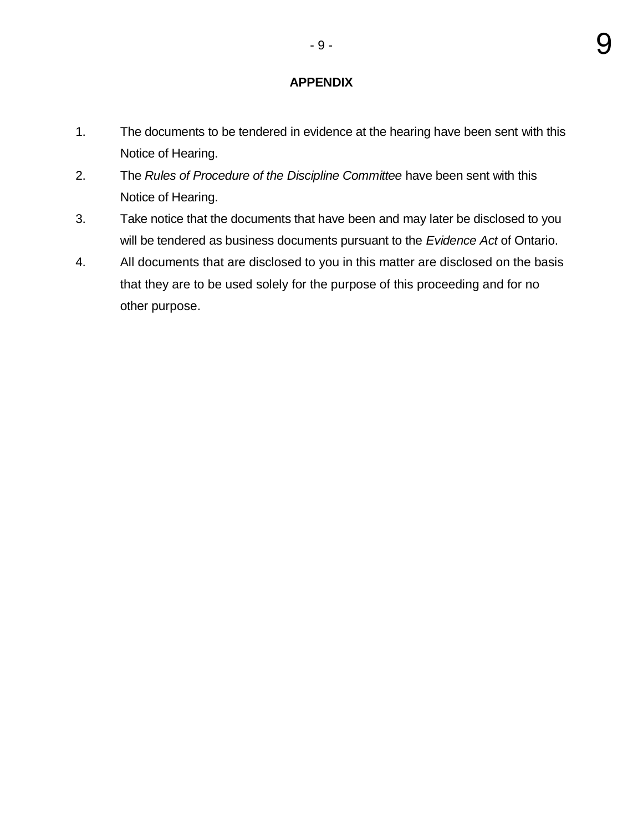# **APPENDIX**

- 1. The documents to be tendered in evidence at the hearing have been sent with this Notice of Hearing.
- 2. The *Rules of Procedure of the Discipline Committee* have been sent with this Notice of Hearing.
- 3. Take notice that the documents that have been and may later be disclosed to you will be tendered as business documents pursuant to the *Evidence Act* of Ontario.
- 4. All documents that are disclosed to you in this matter are disclosed on the basis that they are to be used solely for the purpose of this proceeding and for no other purpose.